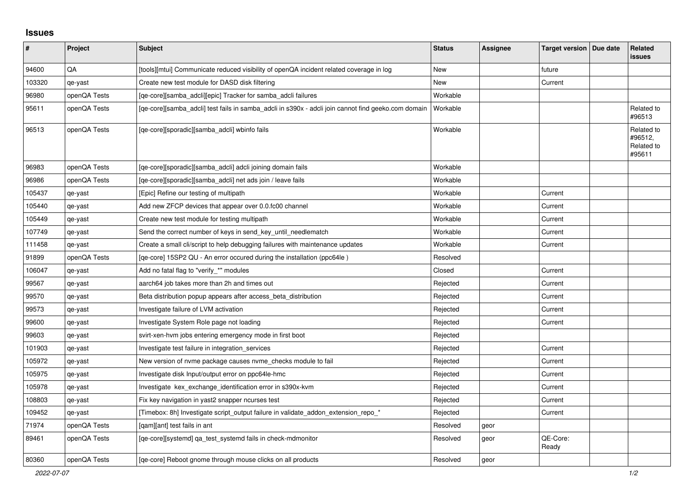## **Issues**

| #      | Project      | <b>Subject</b>                                                                                      | <b>Status</b> | <b>Assignee</b> | Target version   Due date | Related<br><b>issues</b>                      |
|--------|--------------|-----------------------------------------------------------------------------------------------------|---------------|-----------------|---------------------------|-----------------------------------------------|
| 94600  | QA           | [tools][mtui] Communicate reduced visibility of openQA incident related coverage in log             | <b>New</b>    |                 | future                    |                                               |
| 103320 | qe-yast      | Create new test module for DASD disk filtering                                                      | New           |                 | Current                   |                                               |
| 96980  | openQA Tests | [qe-core][samba_adcli][epic] Tracker for samba_adcli failures                                       | Workable      |                 |                           |                                               |
| 95611  | openQA Tests | [qe-core][samba_adcli] test fails in samba_adcli in s390x - adcli join cannot find geeko.com domain | Workable      |                 |                           | Related to<br>#96513                          |
| 96513  | openQA Tests | [qe-core][sporadic][samba_adcli] wbinfo fails                                                       | Workable      |                 |                           | Related to<br>#96512,<br>Related to<br>#95611 |
| 96983  | openQA Tests | [qe-core][sporadic][samba_adcli] adcli joining domain fails                                         | Workable      |                 |                           |                                               |
| 96986  | openQA Tests | [qe-core][sporadic][samba_adcli] net ads join / leave fails                                         | Workable      |                 |                           |                                               |
| 105437 | qe-yast      | [Epic] Refine our testing of multipath                                                              | Workable      |                 | Current                   |                                               |
| 105440 | qe-yast      | Add new ZFCP devices that appear over 0.0.fc00 channel                                              | Workable      |                 | Current                   |                                               |
| 105449 | qe-yast      | Create new test module for testing multipath                                                        | Workable      |                 | Current                   |                                               |
| 107749 | qe-yast      | Send the correct number of keys in send key until needlematch                                       | Workable      |                 | Current                   |                                               |
| 111458 | qe-yast      | Create a small cli/script to help debugging failures with maintenance updates                       | Workable      |                 | Current                   |                                               |
| 91899  | openQA Tests | [ge-core] 15SP2 QU - An error occured during the installation (ppc64le)                             | Resolved      |                 |                           |                                               |
| 106047 | qe-yast      | Add no fatal flag to "verify_*" modules                                                             | Closed        |                 | Current                   |                                               |
| 99567  | qe-yast      | aarch64 job takes more than 2h and times out                                                        | Rejected      |                 | Current                   |                                               |
| 99570  | qe-yast      | Beta distribution popup appears after access_beta_distribution                                      | Rejected      |                 | Current                   |                                               |
| 99573  | qe-yast      | Investigate failure of LVM activation                                                               | Rejected      |                 | Current                   |                                               |
| 99600  | qe-yast      | Investigate System Role page not loading                                                            | Rejected      |                 | Current                   |                                               |
| 99603  | qe-yast      | svirt-xen-hvm jobs entering emergency mode in first boot                                            | Rejected      |                 |                           |                                               |
| 101903 | qe-yast      | Investigate test failure in integration_services                                                    | Rejected      |                 | Current                   |                                               |
| 105972 | qe-yast      | New version of nvme package causes nvme_checks module to fail                                       | Rejected      |                 | Current                   |                                               |
| 105975 | qe-yast      | Investigate disk Input/output error on ppc64le-hmc                                                  | Rejected      |                 | Current                   |                                               |
| 105978 | qe-yast      | Investigate kex_exchange_identification error in s390x-kvm                                          | Rejected      |                 | Current                   |                                               |
| 108803 | qe-yast      | Fix key navigation in yast2 snapper ncurses test                                                    | Rejected      |                 | Current                   |                                               |
| 109452 | qe-yast      | [Timebox: 8h] Investigate script_output failure in validate_addon_extension_repo_*                  | Rejected      |                 | Current                   |                                               |
| 71974  | openQA Tests | [qam][ant] test fails in ant                                                                        | Resolved      | geor            |                           |                                               |
| 89461  | openQA Tests | [qe-core][systemd] qa_test_systemd fails in check-mdmonitor                                         | Resolved      | geor            | QE-Core:<br>Ready         |                                               |
| 80360  | openQA Tests | [ge-core] Reboot gnome through mouse clicks on all products                                         | Resolved      | geor            |                           |                                               |